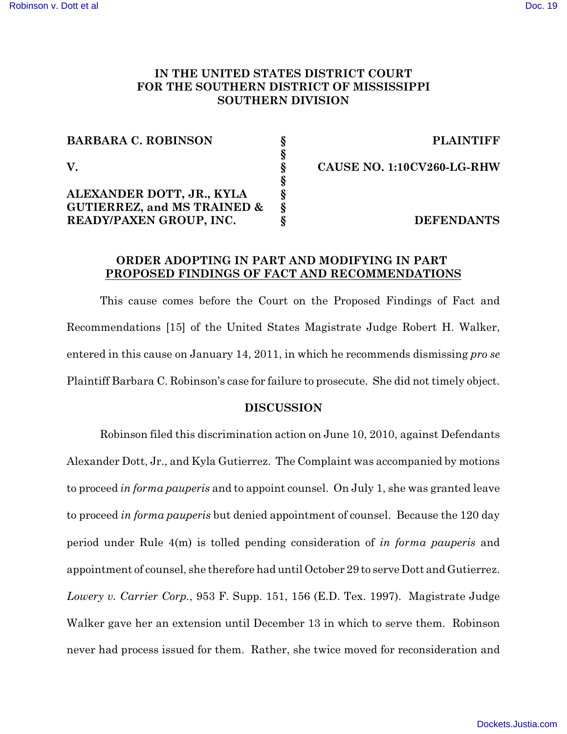## **IN THE UNITED STATES DISTRICT COURT FOR THE SOUTHERN DISTRICT OF MISSISSIPPI SOUTHERN DIVISION**

| <b>BARBARA C. ROBINSON</b><br>V.       |        |
|----------------------------------------|--------|
|                                        | Ş<br>Ş |
| ALEXANDER DOTT, JR., KYLA              | Ş<br>Ş |
| <b>GUTIERREZ, and MS TRAINED &amp;</b> | 8      |
| READY/PAXEN GROUP, INC.                | 8      |

**BARBARA C. ROBINSON § PLAINTIFF**

**V. § CAUSE NO. 1:10CV260-LG-RHW**

**READY/PAXEN GROUP, INC. § DEFENDANTS**

## **ORDER ADOPTING IN PART AND MODIFYING IN PART PROPOSED FINDINGS OF FACT AND RECOMMENDATIONS**

This cause comes before the Court on the Proposed Findings of Fact and Recommendations [15] of the United States Magistrate Judge Robert H. Walker, entered in this cause on January 14, 2011, in which he recommends dismissing *pro se* Plaintiff Barbara C. Robinson's case for failure to prosecute. She did not timely object.

## **DISCUSSION**

Robinson filed this discrimination action on June 10, 2010, against Defendants Alexander Dott, Jr., and Kyla Gutierrez. The Complaint was accompanied by motions to proceed *in forma pauperis* and to appoint counsel. On July 1, she was granted leave to proceed *in forma pauperis* but denied appointment of counsel. Because the 120 day period under Rule 4(m) is tolled pending consideration of *in forma pauperis* and appointment of counsel, she therefore had until October 29 to serve Dott and Gutierrez. *Lowery v. Carrier Corp.*, 953 F. Supp. 151, 156 (E.D. Tex. 1997). Magistrate Judge Walker gave her an extension until December 13 in which to serve them. Robinson never had process issued for them. Rather, she twice moved for reconsideration and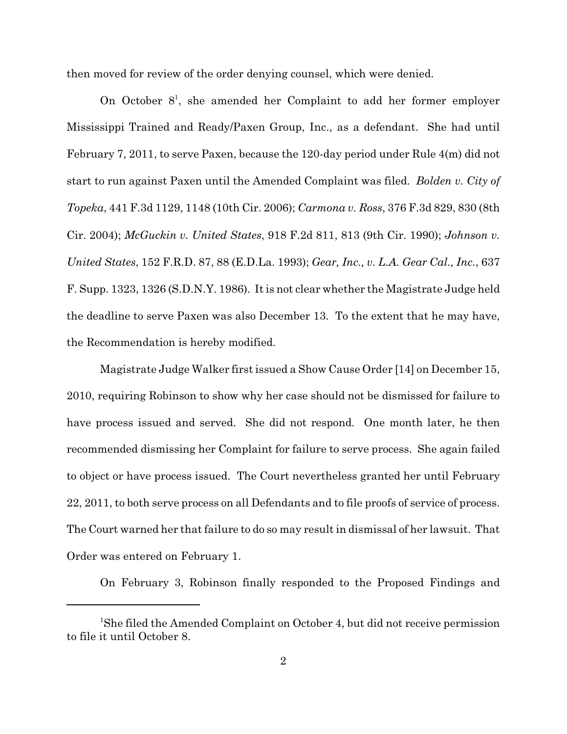then moved for review of the order denying counsel, which were denied.

On October  $8^1$ , she amended her Complaint to add her former employer Mississippi Trained and Ready/Paxen Group, Inc., as a defendant. She had until February 7, 2011, to serve Paxen, because the 120-day period under Rule 4(m) did not start to run against Paxen until the Amended Complaint was filed. *Bolden v. City of Topeka*, 441 F.3d 1129, 1148 (10th Cir. 2006); *Carmona v. Ross*, 376 F.3d 829, 830 (8th Cir. 2004); *McGuckin v. United States*, 918 F.2d 811, 813 (9th Cir. 1990); *Johnson v. United States*, 152 F.R.D. 87, 88 (E.D.La. 1993); *Gear, Inc., v. L.A. Gear Cal., Inc.*, 637 F. Supp. 1323, 1326 (S.D.N.Y. 1986). It is not clear whether the Magistrate Judge held the deadline to serve Paxen was also December 13. To the extent that he may have, the Recommendation is hereby modified.

Magistrate Judge Walker first issued a Show Cause Order [14] on December 15, 2010, requiring Robinson to show why her case should not be dismissed for failure to have process issued and served. She did not respond. One month later, he then recommended dismissing her Complaint for failure to serve process. She again failed to object or have process issued. The Court nevertheless granted her until February 22, 2011, to both serve process on all Defendants and to file proofs of service of process. The Court warned her that failure to do so may result in dismissal of her lawsuit. That Order was entered on February 1.

On February 3, Robinson finally responded to the Proposed Findings and

She filed the Amended Complaint on October 4, but did not receive permission <sup>1</sup> to file it until October 8.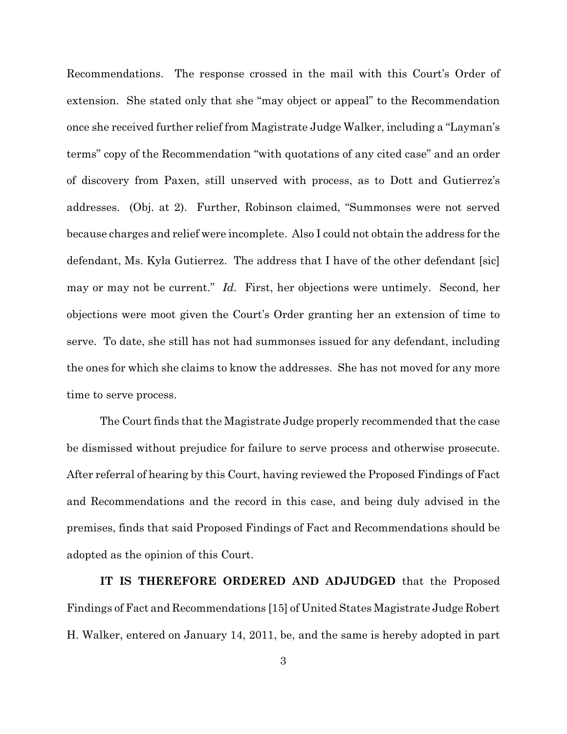Recommendations. The response crossed in the mail with this Court's Order of extension. She stated only that she "may object or appeal" to the Recommendation once she received further relief from Magistrate Judge Walker, including a "Layman's terms" copy of the Recommendation "with quotations of any cited case" and an order of discovery from Paxen, still unserved with process, as to Dott and Gutierrez's addresses. (Obj. at 2). Further, Robinson claimed, "Summonses were not served because charges and relief were incomplete. Also I could not obtain the address for the defendant, Ms. Kyla Gutierrez. The address that I have of the other defendant [sic] may or may not be current." *Id.* First, her objections were untimely. Second, her objections were moot given the Court's Order granting her an extension of time to serve. To date, she still has not had summonses issued for any defendant, including the ones for which she claims to know the addresses. She has not moved for any more time to serve process.

The Court finds that the Magistrate Judge properly recommended that the case be dismissed without prejudice for failure to serve process and otherwise prosecute. After referral of hearing by this Court, having reviewed the Proposed Findings of Fact and Recommendations and the record in this case, and being duly advised in the premises, finds that said Proposed Findings of Fact and Recommendations should be adopted as the opinion of this Court.

**IT IS THEREFORE ORDERED AND ADJUDGED** that the Proposed Findings of Fact and Recommendations [15] of United States Magistrate Judge Robert H. Walker, entered on January 14, 2011, be, and the same is hereby adopted in part